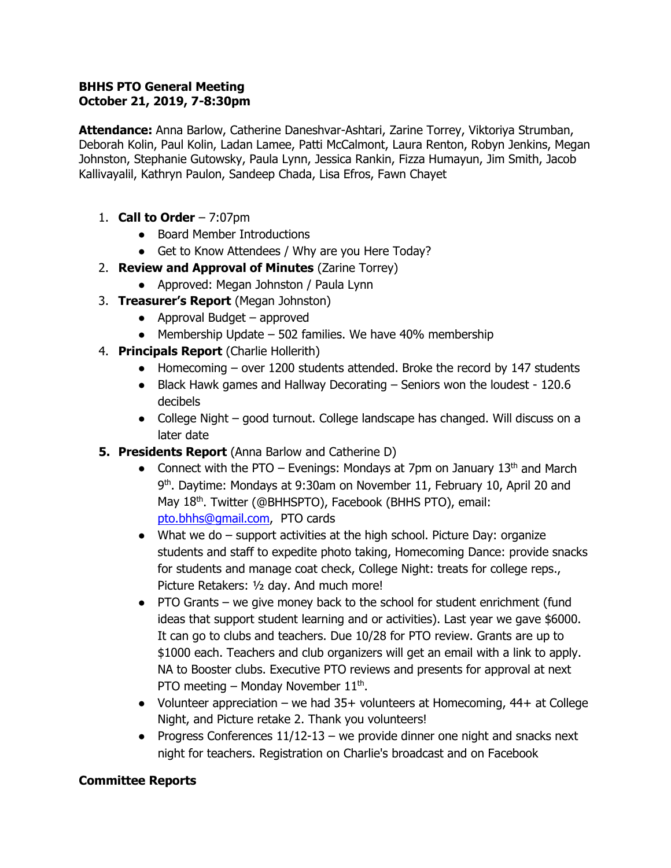### **BHHS PTO General Meeting October 21, 2019, 7-8:30pm**

**Attendance:** Anna Barlow, Catherine Daneshvar-Ashtari, Zarine Torrey, Viktoriya Strumban, Deborah Kolin, Paul Kolin, Ladan Lamee, Patti McCalmont, Laura Renton, Robyn Jenkins, Megan Johnston, Stephanie Gutowsky, Paula Lynn, Jessica Rankin, Fizza Humayun, Jim Smith, Jacob Kallivayalil, Kathryn Paulon, Sandeep Chada, Lisa Efros, Fawn Chayet

- 1. **Call to Order** 7:07pm
	- Board Member Introductions
	- Get to Know Attendees / Why are you Here Today?
- 2. **Review and Approval of Minutes** (Zarine Torrey)
	- Approved: Megan Johnston / Paula Lynn
- 3. **Treasurer's Report** (Megan Johnston)
	- $\bullet$  Approval Budget approved
	- $\bullet$  Membership Update 502 families. We have 40% membership
- 4. **Principals Report** (Charlie Hollerith)
	- Homecoming over 1200 students attended. Broke the record by 147 students
	- Black Hawk games and Hallway Decorating Seniors won the loudest 120.6 decibels
	- College Night good turnout. College landscape has changed. Will discuss on a later date
- **5. Presidents Report** (Anna Barlow and Catherine D)
	- Connect with the PTO Evenings: Mondays at 7pm on January  $13<sup>th</sup>$  and March 9<sup>th</sup>. Daytime: Mondays at 9:30am on November 11, February 10, April 20 and May 18<sup>th</sup>. Twitter (@BHHSPTO), Facebook (BHHS PTO), email: [pto.bhhs@gmail.com,](mailto:pto.bhhs@gmail.com) PTO cards
	- $\bullet$  What we do  $-$  support activities at the high school. Picture Day: organize students and staff to expedite photo taking, Homecoming Dance: provide snacks for students and manage coat check, College Night: treats for college reps., Picture Retakers: ½ day. And much more!
	- PTO Grants we give money back to the school for student enrichment (fund ideas that support student learning and or activities). Last year we gave \$6000. It can go to clubs and teachers. Due 10/28 for PTO review. Grants are up to \$1000 each. Teachers and club organizers will get an email with a link to apply. NA to Booster clubs. Executive PTO reviews and presents for approval at next PTO meeting – Monday November  $11<sup>th</sup>$ .
	- Volunteer appreciation we had  $35+$  volunteers at Homecoming,  $44+$  at College Night, and Picture retake 2. Thank you volunteers!
	- Progress Conferences  $11/12-13$  we provide dinner one night and snacks next night for teachers. Registration on Charlie's broadcast and on Facebook

# **Committee Reports**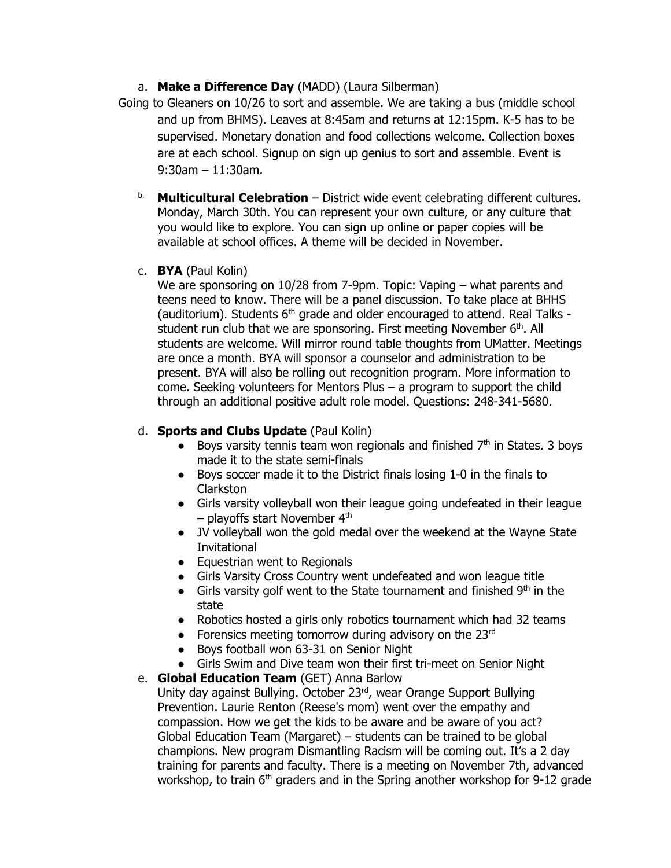# a. **Make a Difference Day** (MADD) (Laura Silberman)

- Going to Gleaners on 10/26 to sort and assemble. We are taking a bus (middle school and up from BHMS). Leaves at 8:45am and returns at 12:15pm. K-5 has to be supervised. Monetary donation and food collections welcome. Collection boxes are at each school. Signup on sign up genius to sort and assemble. Event is 9:30am – 11:30am.
	- b. **Multicultural Celebration** District wide event celebrating different cultures. Monday, March 30th. You can represent your own culture, or any culture that you would like to explore. You can sign up online or paper copies will be available at school offices. A theme will be decided in November.
	- c. **BYA** (Paul Kolin)

We are sponsoring on 10/28 from 7-9pm. Topic: Vaping – what parents and teens need to know. There will be a panel discussion. To take place at BHHS (auditorium). Students  $6<sup>th</sup>$  grade and older encouraged to attend. Real Talks student run club that we are sponsoring. First meeting November 6<sup>th</sup>. All students are welcome. Will mirror round table thoughts from UMatter. Meetings are once a month. BYA will sponsor a counselor and administration to be present. BYA will also be rolling out recognition program. More information to come. Seeking volunteers for Mentors Plus – a program to support the child through an additional positive adult role model. Questions: 248-341-5680.

# d. **Sports and Clubs Update** (Paul Kolin)

- Boys varsity tennis team won regionals and finished 7<sup>th</sup> in States. 3 boys made it to the state semi-finals
- Boys soccer made it to the District finals losing 1-0 in the finals to Clarkston
- Girls varsity volleyball won their league going undefeated in their league  $-$  playoffs start November  $4<sup>th</sup>$
- JV volleyball won the gold medal over the weekend at the Wayne State Invitational
- Equestrian went to Regionals
- Girls Varsity Cross Country went undefeated and won league title
- Girls varsity golf went to the State tournament and finished  $9<sup>th</sup>$  in the state
- Robotics hosted a girls only robotics tournament which had 32 teams
- Forensics meeting tomorrow during advisory on the  $23<sup>rd</sup>$
- Boys football won 63-31 on Senior Night
- Girls Swim and Dive team won their first tri-meet on Senior Night

# e. **Global Education Team** (GET) Anna Barlow

Unity day against Bullying. October 23rd, wear Orange Support Bullying Prevention. Laurie Renton (Reese's mom) went over the empathy and compassion. How we get the kids to be aware and be aware of you act? Global Education Team (Margaret) – students can be trained to be global champions. New program Dismantling Racism will be coming out. It's a 2 day training for parents and faculty. There is a meeting on November 7th, advanced workshop, to train 6<sup>th</sup> graders and in the Spring another workshop for 9-12 grade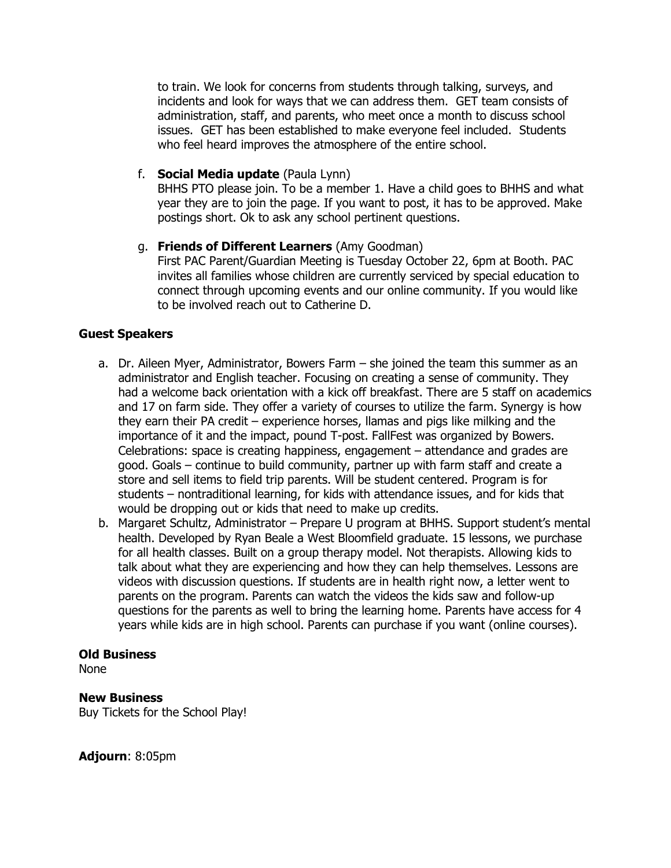to train. We look for concerns from students through talking, surveys, and incidents and look for ways that we can address them. GET team consists of administration, staff, and parents, who meet once a month to discuss school issues. GET has been established to make everyone feel included. Students who feel heard improves the atmosphere of the entire school.

#### f. **Social Media update** (Paula Lynn)

BHHS PTO please join. To be a member 1. Have a child goes to BHHS and what year they are to join the page. If you want to post, it has to be approved. Make postings short. Ok to ask any school pertinent questions.

### g. **Friends of Different Learners** (Amy Goodman)

First PAC Parent/Guardian Meeting is Tuesday October 22, 6pm at Booth. PAC invites all families whose children are currently serviced by special education to connect through upcoming events and our online community. If you would like to be involved reach out to Catherine D.

# **Guest Speakers**

- a. Dr. Aileen Myer, Administrator, Bowers Farm she joined the team this summer as an administrator and English teacher. Focusing on creating a sense of community. They had a welcome back orientation with a kick off breakfast. There are 5 staff on academics and 17 on farm side. They offer a variety of courses to utilize the farm. Synergy is how they earn their PA credit – experience horses, llamas and pigs like milking and the importance of it and the impact, pound T-post. FallFest was organized by Bowers. Celebrations: space is creating happiness, engagement – attendance and grades are good. Goals – continue to build community, partner up with farm staff and create a store and sell items to field trip parents. Will be student centered. Program is for students – nontraditional learning, for kids with attendance issues, and for kids that would be dropping out or kids that need to make up credits.
- b. Margaret Schultz, Administrator Prepare U program at BHHS. Support student's mental health. Developed by Ryan Beale a West Bloomfield graduate. 15 lessons, we purchase for all health classes. Built on a group therapy model. Not therapists. Allowing kids to talk about what they are experiencing and how they can help themselves. Lessons are videos with discussion questions. If students are in health right now, a letter went to parents on the program. Parents can watch the videos the kids saw and follow-up questions for the parents as well to bring the learning home. Parents have access for 4 years while kids are in high school. Parents can purchase if you want (online courses).

#### **Old Business**

None

#### **New Business**

Buy Tickets for the School Play!

**Adjourn**: 8:05pm